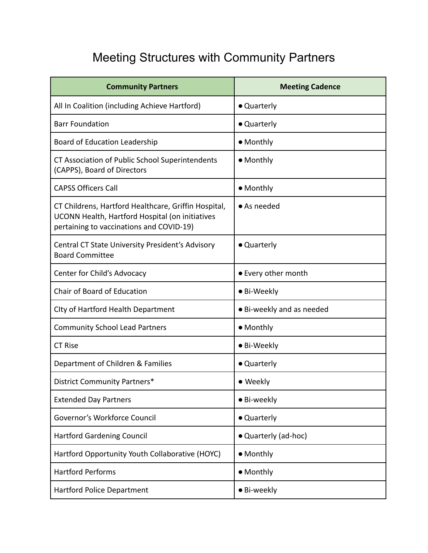## Meeting Structures with Community Partners

| <b>Community Partners</b>                                                                                                                           | <b>Meeting Cadence</b>    |
|-----------------------------------------------------------------------------------------------------------------------------------------------------|---------------------------|
| All In Coalition (including Achieve Hartford)                                                                                                       | • Quarterly               |
| <b>Barr Foundation</b>                                                                                                                              | • Quarterly               |
| <b>Board of Education Leadership</b>                                                                                                                | • Monthly                 |
| CT Association of Public School Superintendents<br>(CAPPS), Board of Directors                                                                      | • Monthly                 |
| <b>CAPSS Officers Call</b>                                                                                                                          | • Monthly                 |
| CT Childrens, Hartford Healthcare, Griffin Hospital,<br>UCONN Health, Hartford Hospital (on initiatives<br>pertaining to vaccinations and COVID-19) | $\bullet$ As needed       |
| Central CT State University President's Advisory<br><b>Board Committee</b>                                                                          | • Quarterly               |
| Center for Child's Advocacy                                                                                                                         | • Every other month       |
| Chair of Board of Education                                                                                                                         | • Bi-Weekly               |
| City of Hartford Health Department                                                                                                                  | • Bi-weekly and as needed |
| <b>Community School Lead Partners</b>                                                                                                               | • Monthly                 |
| <b>CT Rise</b>                                                                                                                                      | • Bi-Weekly               |
| Department of Children & Families                                                                                                                   | • Quarterly               |
| District Community Partners*                                                                                                                        | • Weekly                  |
| <b>Extended Day Partners</b>                                                                                                                        | • Bi-weekly               |
| Governor's Workforce Council                                                                                                                        | • Quarterly               |
| <b>Hartford Gardening Council</b>                                                                                                                   | • Quarterly (ad-hoc)      |
| Hartford Opportunity Youth Collaborative (HOYC)                                                                                                     | • Monthly                 |
| <b>Hartford Performs</b>                                                                                                                            | • Monthly                 |
| <b>Hartford Police Department</b>                                                                                                                   | • Bi-weekly               |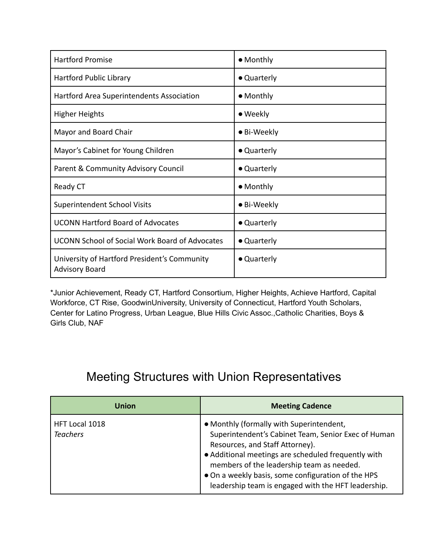| <b>Hartford Promise</b>                                               | • Monthly   |
|-----------------------------------------------------------------------|-------------|
| Hartford Public Library                                               | • Quarterly |
| Hartford Area Superintendents Association                             | • Monthly   |
| <b>Higher Heights</b>                                                 | • Weekly    |
| Mayor and Board Chair                                                 | • Bi-Weekly |
| Mayor's Cabinet for Young Children                                    | • Quarterly |
| Parent & Community Advisory Council                                   | • Quarterly |
| Ready CT                                                              | • Monthly   |
| <b>Superintendent School Visits</b>                                   | • Bi-Weekly |
| <b>UCONN Hartford Board of Advocates</b>                              | • Quarterly |
| <b>UCONN School of Social Work Board of Advocates</b>                 | • Quarterly |
| University of Hartford President's Community<br><b>Advisory Board</b> | • Quarterly |

\*Junior Achievement, Ready CT, Hartford Consortium, Higher Heights, Achieve Hartford, Capital Workforce, CT Rise, GoodwinUniversity, University of Connecticut, Hartford Youth Scholars, Center for Latino Progress, Urban League, Blue Hills Civic Assoc.,Catholic Charities, Boys & Girls Club, NAF

## Meeting Structures with Union Representatives

| Union                             | <b>Meeting Cadence</b>                                                                                                                                                                                                                                                                                                                              |
|-----------------------------------|-----------------------------------------------------------------------------------------------------------------------------------------------------------------------------------------------------------------------------------------------------------------------------------------------------------------------------------------------------|
| HFT Local 1018<br><b>Teachers</b> | • Monthly (formally with Superintendent,<br>Superintendent's Cabinet Team, Senior Exec of Human<br>Resources, and Staff Attorney).<br>• Additional meetings are scheduled frequently with<br>members of the leadership team as needed.<br>• On a weekly basis, some configuration of the HPS<br>leadership team is engaged with the HFT leadership. |